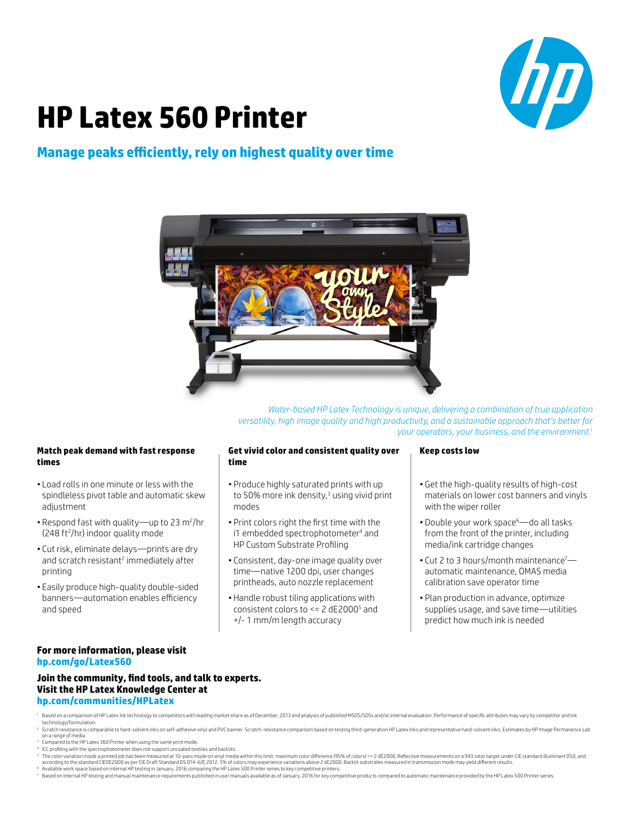

# **HP Latex 560 Printer**

### **Manage peaks efficiently, rely on highest quality over time**



*Water-based HP Latex Technology is unique, delivering a combination of true application versatility, high image quality and high productivity, and a sustainable approach that's better for your operators, your business, and the environment.1*

#### **Match peak demand with fast response times**

- Load rolls in one minute or less with the spindleless pivot table and automatic skew adiustment
- Respond fast with quality—up to 23 m<sup>2</sup>/hr (248 ft<sup>2</sup>/hr) indoor quality mode
- Cut risk, eliminate delays—prints are dry and scratch resistant<sup>2</sup> immediately after printing
- Easily produce high-quality double-sided banners—automation enables efficiency and speed

#### **Get vivid color and consistent quality over time**

- Produce highly saturated prints with up to 50% more ink density,<sup>3</sup> using vivid print modes
- Print colors right the first time with the i1 embedded spectrophotometer<sup>4</sup> and HP Custom Substrate Profiling
- Consistent, day-one image quality over time—native 1200 dpi, user changes printheads, auto nozzle replacement
- Handle robust tiling applications with consistent colors to <= 2 dE2000<sup>5</sup> and +/- 1 mm/m length accuracy

#### **Keep costs low**

- Get the high-quality results of high-cost materials on lower cost banners and vinyls with the wiper roller
- Double your work space<sup>6</sup>—do all tasks from the front of the printer, including media/ink cartridge changes
- Cut 2 to 3 hours/month maintenance<sup>7</sup> automatic maintenance, OMAS media calibration save operator time
- Plan production in advance, optimize supplies usage, and save time—utilities predict how much ink is needed

#### **For more information, please visit [hp.com/go/L](http://hp.com/go/Latex560)atex560**

#### **Join the community, find tools, and talk to experts. Visit the HP Latex Knowledge Center at [hp.com/communities/HPLatex](http://hp.com/communities/HPLatex)**

- 1 Based on a comparison of HP Latex Ink technology to competitors with leading market share as of December, 2013 and analysis of published MSDS/SDSs and/or internal evaluation. Performance of specific attributes may vary b technology/formulation.
- <sup>2</sup> Scratch resistance is comparable to hard-solvent inks on self-adhesive vinyl and PVC banner. Scratch-resistance comparison based on testing third-generation HP Latex Inks and representative hard-solvent inks. Estimates
- <sup>3</sup> Compared to the HP Latex 360 Printer when using the same print mode.
- <sup>4</sup> ICC profiling with the spectrophotometer does not support uncoated textiles and backlits.
- 
- <sup>s</sup> The color variation inside a printed job has been measured at 10-pass mode on vinyl media within this limit: maximum color difference (95% of colors) <= 2 dE2000. Reflective measurements on a 943 color target under C
- 7 Based on internal HP testing and manual maintenance requirements published in user manuals available as of January, 2016 for key competitive products compared to automatic maintenance provided by the HP Latex 500 Printer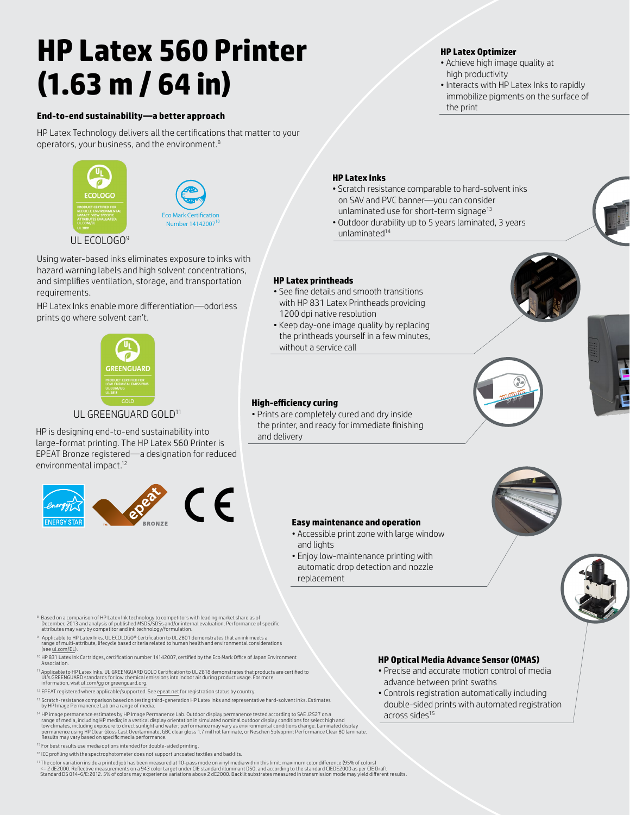# **HP Latex 560 Printer (1.63 m / 64 in)**

#### **End-to-end sustainability—a better approach**

HP Latex Technology delivers all the certifications that matter to your operators, your business, and the environment.8





#### UL ECOLOGO<sup>9</sup>

Using water-based inks eliminates exposure to inks with hazard warning labels and high solvent concentrations, and simplifies ventilation, storage, and transportation requirements.

HP Latex Inks enable more differentiation—odorless prints go where solvent can't.



#### UL GREENGUARD GOLD<sup>11</sup>

HP is designing end-to-end sustainability into large-format printing. The HP Latex 560 Printer is EPEAT Bronze registered—a designation for reduced environmental impact.12



#### **HP Latex Inks**

• Scratch resistance comparable to hard-solvent inks on SAV and PVC banner—you can consider unlaminated use for short-term signage<sup>13</sup>

**HP Latex Optimizer**

high productivity

the print

• Achieve high image quality at

• Interacts with HP Latex Inks to rapidly immobilize pigments on the surface of

• Outdoor durability up to 5 years laminated, 3 years unlaminated<sup>14</sup>

#### **HP Latex printheads**

- See fine details and smooth transitions with HP 831 Latex Printheads providing 1200 dpi native resolution
- Keep day-one image quality by replacing the printheads yourself in a few minutes, without a service call

#### **High-efficiency curing**

• Prints are completely cured and dry inside the printer, and ready for immediate finishing and delivery









® Based on a comparison of HP Latex Ink technology to competitors with leading market share as of<br>December, 2013 and analysis of published MSDS/SDs and/or internal evaluation. Performance of specific<br>attributes may vary by

- 9 Applicable to HP Latex Inks. UL ECOLOGO® Certification to UL 2801 demonstrates that an ink meets a range of multi-attribute, lifecycle based criteria related to human health and environmental considerations
- (see [ul.com/EL](http://ul.com/EL)). <sup>10</sup> HP 831 Latex Ink Cartridges, certification number 14142007, certified by the Eco Mark Office of Japan Environment
- Associat <sup>11</sup> Applicable to HP Latex Inks. UL GREENGUARD GOLD Certification to UL 2818 demonstrates that products are certified to UL's GREENGUARD standards for low chemical emissions into indoor air during product usage. For more
- information, visit [ul.com/gg](http://ul.com/gg) or [greenguard.org](http://greenguard.org).
- <sup>12</sup> EPEAT registered where applicable/supported. See [epeat.net](http://epeat.net) for registration status by country.
- <sup>13</sup> Scratch-resistance comparison based on testing third-generation HP Latex Inks and representative hard-solvent inks. Estimates<br>by HP Image Permanence Lab on a range of media.

Function of the University of the University of the University of the University of the University of the University of the University of the University of the University of the University of the University of the Univers <sup>14</sup> HP image permanence estimates by HP Image Permanence Lab. Outdoor display permanence tested according to SAE J2527 on a<br>Trange of media, including HP media; in a vertical display orientation in simulated nominal outdo Results may vary based on specific media performance.

- <sup>15</sup> For best results use media options intended for double-sided printing.
- <sup>16</sup> ICC profiling with the spectrophotometer does not support uncoated textiles and backlits.

<sup>17</sup> The color variation inside a printed job has been measured at 10-pass mode on vinyl media within this limit: maximum color difference (95% of colors)<br><= 2 dE2000. Reflective measurements on a 943 color target under CI

#### **HP Optical Media Advance Sensor (OMAS)**

- Precise and accurate motion control of media advance between print swaths
- Controls registration automatically including double-sided prints with automated registration across sides<sup>15</sup>

## **Easy maintenance and operation**

- Accessible print zone with large window and lights
- Enjoy low-maintenance printing with automatic drop detection and nozzle replacement

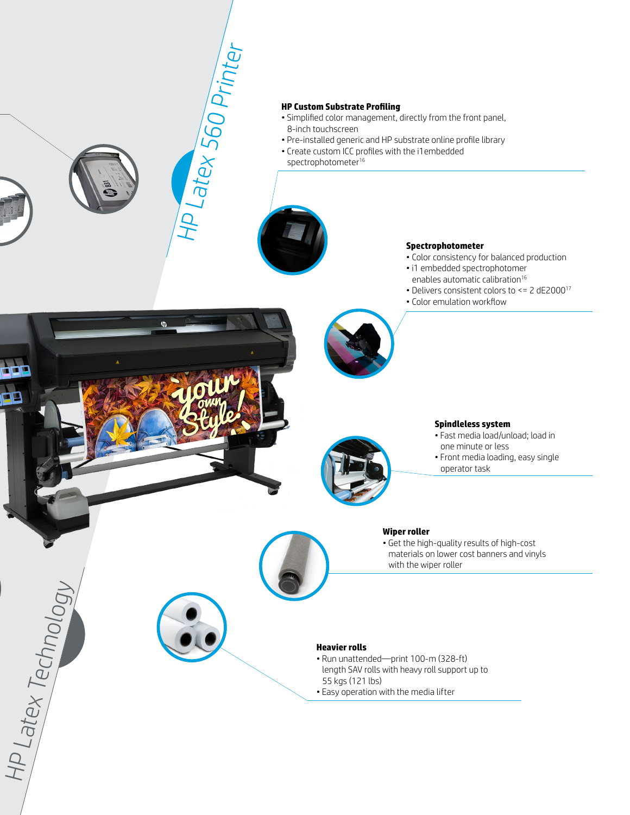